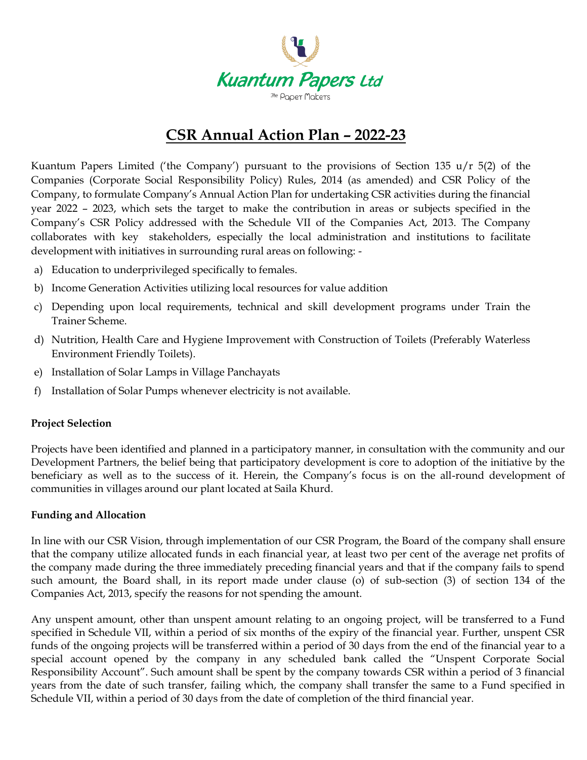

# **CSR Annual Action Plan – 2022-23**

Kuantum Papers Limited ('the Company') pursuant to the provisions of Section 135 u/r 5(2) of the Companies (Corporate Social Responsibility Policy) Rules, 2014 (as amended) and CSR Policy of the Company, to formulate Company's Annual Action Plan for undertaking CSR activities during the financial year 2022 – 2023, which sets the target to make the contribution in areas or subjects specified in the Company's CSR Policy addressed with the Schedule VII of the Companies Act, 2013. The Company collaborates with key stakeholders, especially the local administration and institutions to facilitate development with initiatives in surrounding rural areas on following: -

- a) Education to underprivileged specifically to females.
- b) Income Generation Activities utilizing local resources for value addition
- c) Depending upon local requirements, technical and skill development programs under Train the Trainer Scheme.
- d) Nutrition, Health Care and Hygiene Improvement with Construction of Toilets (Preferably Waterless Environment Friendly Toilets).
- e) Installation of Solar Lamps in Village Panchayats
- f) Installation of Solar Pumps whenever electricity is not available.

#### **Project Selection**

Projects have been identified and planned in a participatory manner, in consultation with the community and our Development Partners, the belief being that participatory development is core to adoption of the initiative by the beneficiary as well as to the success of it. Herein, the Company's focus is on the all-round development of communities in villages around our plant located at Saila Khurd.

#### **Funding and Allocation**

In line with our CSR Vision, through implementation of our CSR Program, the Board of the company shall ensure that the company utilize allocated funds in each financial year, at least two per cent of the average net profits of the company made during the three immediately preceding financial years and that if the company fails to spend such amount, the Board shall, in its report made under clause (o) of sub-section (3) of section 134 of the Companies Act, 2013, specify the reasons for not spending the amount.

Any unspent amount, other than unspent amount relating to an ongoing project, will be transferred to a Fund specified in Schedule VII, within a period of six months of the expiry of the financial year. Further, unspent CSR funds of the ongoing projects will be transferred within a period of 30 days from the end of the financial year to a special account opened by the company in any scheduled bank called the "Unspent Corporate Social Responsibility Account". Such amount shall be spent by the company towards CSR within a period of 3 financial years from the date of such transfer, failing which, the company shall transfer the same to a Fund specified in Schedule VII, within a period of 30 days from the date of completion of the third financial year.